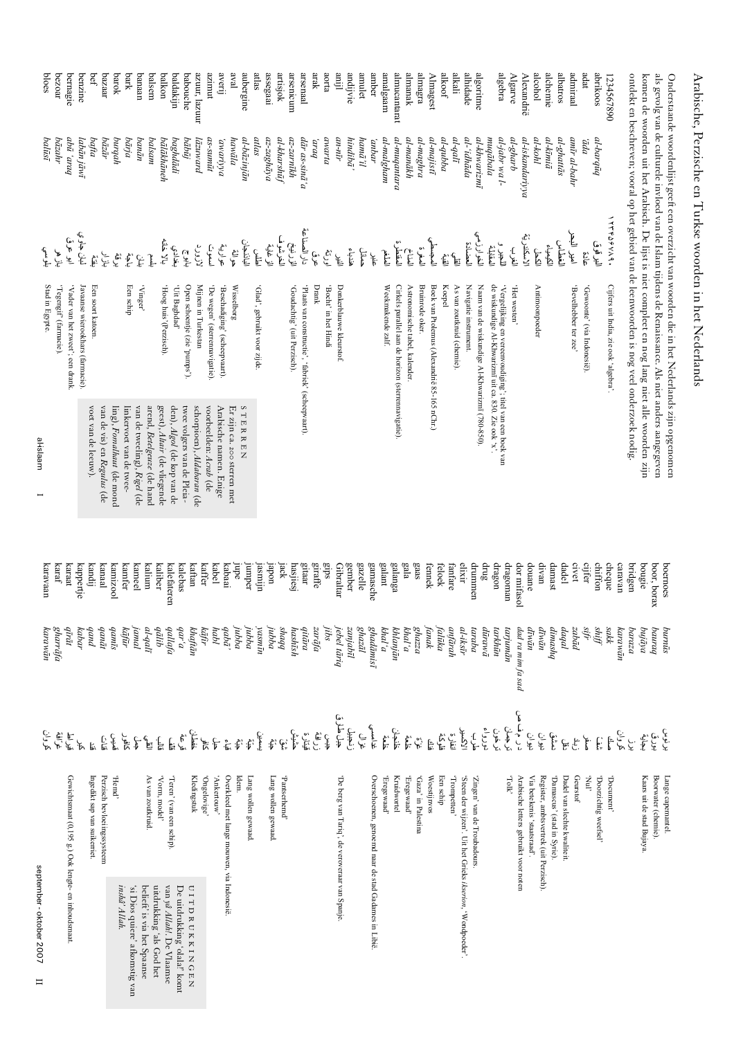## Arabische, Perzische en Turkse woorden in het Nederlands

Onderstaande woordenlijst geeft een overzicht van woorden die in het Nederlands zijn opgenomen<br>als gevolg van de culturele invloed van de Islam tijdens de Renaissance. Als niet anders aangegeven

| september-oktober 2007<br>$\mathbf{I}$                     | کروان                                                                                                                                                                                                                            | ανανώπ            | karavaar      | al-islaam                           | Stad in Egypte.                                                                                                | للوسي<br>ا                  | balūsī              | bloes           |
|------------------------------------------------------------|----------------------------------------------------------------------------------------------------------------------------------------------------------------------------------------------------------------------------------|-------------------|---------------|-------------------------------------|----------------------------------------------------------------------------------------------------------------|-----------------------------|---------------------|-----------------|
|                                                            |                                                                                                                                                                                                                                  | gharrāfa          | karaf         |                                     | 'Tegengif' (farmacie).                                                                                         | بأزهر                       | bāzahr              | bezoar          |
| Gewichtsmaat (0,195 g.) Ook lengte- en inhoudsmaat.        |                                                                                                                                                                                                                                  | qīrāt             | karaat        |                                     | 'Vader van het zweet'; een drank.                                                                              | ابو عرق                     | pnan, aba           | bernagie        |
|                                                            | لو. ڇو. ڳو<br>هي هي                                                                                                                                                                                                              | kabar             | cappertje     |                                     | Javaanse wierookhars (farmacie).                                                                               | لمان جاوي                   | labān jāwī          | benzine         |
| Ingedikt sap van suikerriet.                               | Ę.                                                                                                                                                                                                                               | $p$ un $b$        | kandij        | voet van de leeuw).                 | Een soort katoen.                                                                                              | $\hat{\mathbb{F}}$          | bafta               | bef             |
| Perzisch bevloeiingssysteem                                | قتاني<br>آن له                                                                                                                                                                                                                   | qanāt             | <b>Lanaal</b> | van de vis) en <i>Regulus</i> (de   |                                                                                                                | بازار<br>ا                  | bāzār               | pazaar          |
| .puo <sub>H</sub> ,                                        |                                                                                                                                                                                                                                  | qamīs             | kamizoo l     | ling), Fomalhaut (de mond           |                                                                                                                | بھي<br>ج                    | hrprud              | barok           |
| inshâ' Allah.<br>'si Dios quiere' afkomstig van            | ک<br>افغا                                                                                                                                                                                                                        | kāfūr             | kamfer        | inkervoet van de twee-              | Een schip                                                                                                      | $\sum_{i=1}^{n}$            | bārja               | bark            |
| belieft' is via het Spaanse                                |                                                                                                                                                                                                                                  | jamal             | kameel        | van de tweeling), <i>Rigel</i> (de  | 'Vinger'                                                                                                       | $\frac{E}{C}$               | banān               | panaan          |
| As van zoutkruid.<br>uitdrukking 'als God het              | الحارق المنظمة المنظمة المنظمة المنظمة المنظمة المنظمة المنظمة المنظمة المنظمة المنظمة المنظمة المنظمة المنظمة<br>المنظمة المنظمة المنظمة المنظمة المنظمة المنظمة المنظمة المنظمة المنظمة المنظمة المنظمة المنظمة المنظمة المنظم | al-qali           | umup          | arend, Betelgeuze (de hand          |                                                                                                                | Ĵ                           | balsam              | balsem          |
| 'Vorm, model'<br>van yâ $Allahl$ . De Vlaamse              |                                                                                                                                                                                                                                  | dālib             | kaliber       | geest), <i>Altair</i> (de vliegende | (hog huis' (Perzisch)                                                                                          | بغداد <i>ي</i><br>بالا خانه | bālākhāneh          | balkon          |
| 'Teren' (van een schip).<br>De uitdrukking 'olala!' komt   |                                                                                                                                                                                                                                  | qallafa           | kalefateren   | den), Algol (de kop van de          | "babdaghdad"                                                                                                   |                             | baghdādi            | baldakijn       |
| <b>UITDRUKKINGEN</b>                                       |                                                                                                                                                                                                                                  | b, ab<br>khaftān  | kalebas       | twee volgers van de Pleia-          | Open schoentje (zie 'pumps').                                                                                  | تابو ج                      | bābūj               | pabouche        |
| Kledingstuk                                                |                                                                                                                                                                                                                                  |                   | kaftan        | schorpioen), Aldabaran (de          | Mijnen in Turkestan                                                                                            | لازورد                      | lāzuward            | azuur, lazuur   |
| "ogivolagnO                                                |                                                                                                                                                                                                                                  | kāfir             | kaffer        | voorbeelden: Acrab (de              | 'De wegen' (sterrennavigatie).                                                                                 | أسموت                       | as-sumūt            | muuze           |
| 'Ankertouw'                                                |                                                                                                                                                                                                                                  | habl              | kabel         | Arabische namen. Enige              | 'Beschadiging' (scheepvaart).                                                                                  | عوارية.<br>م                | avariyya            | averi           |
| Overkleed met lange mouwen, via Indonesië.                 |                                                                                                                                                                                                                                  | $qab\bar{a}$      | kabaai        | Er zijn ca. 200 sterren met         | Wisselborg                                                                                                     | ىق<br>م                     | hawāla              | lava            |
| Idem.                                                      |                                                                                                                                                                                                                                  | jubba             | nbe           | STERREN                             |                                                                                                                | الباذنجان                   | al-bāzinjān         | aubergine       |
| Lang wollen gewaad                                         |                                                                                                                                                                                                                                  | jubba             | Jmmber        |                                     |                                                                                                                |                             |                     |                 |
|                                                            |                                                                                                                                                                                                                                  | yasmīn            | ufrusel       |                                     | 'Glad', gebruikt voor zijde.                                                                                   | $\mathbb{E}$                | atlas<br>az-zaghāya | atlas           |
| Lang wollen gewaad.                                        |                                                                                                                                                                                                                                  | jubba             | $u$ odel      |                                     |                                                                                                                | الزغاية                     |                     | assegaal        |
| 'Pantserhemd'                                              |                                                                                                                                                                                                                                  | <b>Shaqq</b>      | Jack          |                                     |                                                                                                                | الخرشوف                     | al-kharshūf         | artisjok        |
|                                                            |                                                                                                                                                                                                                                  | hashīsh           | hasjiesj      |                                     | 'Goudachtig' (uit Perzisch).                                                                                   | ار<br>رني                   | az-zarnīkh          | arsenicum       |
|                                                            |                                                                                                                                                                                                                                  | qitāra            | gitaar        |                                     | 'Plaats van constructie', 'fabriek' (scheepvaart).                                                             | دار الصناعة                 | dār as-sinā'a       | arsenaal        |
|                                                            |                                                                                                                                                                                                                                  | zarāfa            | giraffe       |                                     | Drank                                                                                                          | ى<br>ئ                      | bv.n,               | arak            |
|                                                            |                                                                                                                                                                                                                                  | jibs              | sdia          |                                     | 'Bocht' in het Hindi                                                                                           | او<br>م                     | avarta              | aorta           |
| 'De berg van Tariq', de veroveraar van Spanje              | جبل طارق                                                                                                                                                                                                                         | jebel tāriq       | Gibraltar     |                                     | Donkerblauwe kleurstof.                                                                                        | 匡                           | an-nīr              | emj]            |
|                                                            | نزاق<br>بیلیل                                                                                                                                                                                                                    | zanjabīl          | gember        |                                     |                                                                                                                | هندباء                      | hindibā'            | andijvie        |
|                                                            |                                                                                                                                                                                                                                  | ghazāl            | $gaze$ lle    |                                     |                                                                                                                | حملن                        | hamā'il             | amulet          |
| Overschoenen, genoemd naar de stad Gadames in Libië        | <u>غذامسي</u>                                                                                                                                                                                                                    | ghadāmisī         | gamasche      |                                     |                                                                                                                | $\mathfrak{f}$              | andar <sup>'</sup>  | amber           |
| Bregewaad'                                                 | $E_{\rm E}$                                                                                                                                                                                                                      | khal'a            | galant        |                                     | Weekmakende zalf.                                                                                              | $\sum_{i=1}^{n}$            | al-malgham          | amalgaam        |
| <b>Kruidwortel</b>                                         |                                                                                                                                                                                                                                  | khlanjān          | galanga       |                                     | Cirkels parallel aan de horizon (sterrennavigatie).                                                            |                             | $a$ l-muqantara     | almucantarat    |
| Fregewaad'                                                 |                                                                                                                                                                                                                                  | $p_{i}$           | ejala         |                                     | Astronomische tabel, kalender.                                                                                 | لسفل<br>مقطرة<br>مقطرة      | al-manākh           | almanak         |
| 'Gaza' in Palestina                                        | بي دي.<br>ما                                                                                                                                                                                                                     | $g_{h{\rm ZZ}a}$  | gaas          |                                     | Bruinrode oker.                                                                                                | أتسغن                       | al-maghra           | almagra         |
| Woestijnvos                                                | فنزانه                                                                                                                                                                                                                           | fanak             | fennek        |                                     | Boek van Ptolemus (Alexandrië 85-165 nChr.)                                                                    | المجسطي                     | al-majistī          | <b>Almagest</b> |
| Een schip                                                  |                                                                                                                                                                                                                                  | falūka            | feloek        |                                     | Koepel                                                                                                         |                             | al-qubba            | alkoof          |
| uanaduou <sub>L</sub> ,                                    | الاکسیر<br>قانون<br>قانون                                                                                                                                                                                                        | anfārah           | anfare        |                                     | As van zoutkruid (chemie).                                                                                     | لقا ھئے<br>اپنے اپنے        | $al$ -qalī          | alkali          |
| 'Steen der wijzen'. Uit het Grieks ikserion, 'Wondpoeder'. |                                                                                                                                                                                                                                  | al-iksīr          | elixir        |                                     | Navigatie instrument.                                                                                          | العضادة                     | al-'idhāda          | alhidade        |
| 'Zingen' van de Troubadours                                | ع<br>ج                                                                                                                                                                                                                           | taraba            | drummen       |                                     | Naam van de wiskundige Al-Khwarizmī (780-850).                                                                 | الخوارزمي                   | al-khwarizmī        | algoritme       |
|                                                            | نورواء                                                                                                                                                                                                                           | dūrawā            | drug          |                                     |                                                                                                                |                             | muqābala            |                 |
|                                                            | ترجهان<br>رخون                                                                                                                                                                                                                   | tarkhūn           | dragon        |                                     | 'Vergelijking en vereenvoudiging'; titel van een boek van de wiskundige Al-Khwarizmī uit ca. 830. Zie ook 'x'. | ال<br>أحيار و<br>أحيار      | al-jabr wa l-       | algebra         |
| $A\!\!I\!o\!I$ ,                                           |                                                                                                                                                                                                                                  | tarjunān          | dragoman      |                                     | Het westen'                                                                                                    | ن<br>نام                    | al-gharb            | <b>Algarve</b>  |
| Arabische letters gebruikt voor noten                      | د رم ف صل                                                                                                                                                                                                                        | dad ra mim fa sad | dor mifasol   |                                     |                                                                                                                | الاسكندرية                  | al-iskandariyya     | Alexandrië      |
| Via betekenis 'staatsraad'.                                | نه په<br>رتې                                                                                                                                                                                                                     | dīvān             | douane        |                                     | Antimoonpoeder                                                                                                 | E                           | al-kohl             | alcohol         |
| Register, ambtsvertrek (uit Perzisch).                     |                                                                                                                                                                                                                                  | dīvān             | divan         |                                     |                                                                                                                | الكيمياء                    | al-kīmiā            | alchemie        |
| 'Damascus' (stad in Syrie).                                |                                                                                                                                                                                                                                  | dimashq           | damast        |                                     |                                                                                                                | الغطاس                      | al-ghattās          | albatros        |
| Dadel van slechte kwaliteit.                               | ل قد آين<br>وهو الله المحمد<br>وهو ا                                                                                                                                                                                             | daqal             | dadel         |                                     |                                                                                                                | امير البحر                  | amīr al-bahr        | admiraal        |
| Geurstof                                                   |                                                                                                                                                                                                                                  | zabād             | civet         |                                     | 'Bevelhebber ter zee'                                                                                          |                             |                     |                 |
| . InN,                                                     | $\breve{\mathfrak{f}}$ .                                                                                                                                                                                                         | sifr              | cijfer        |                                     | 'Gewoonte' (via Indonesië).                                                                                    | غادة                        | ppp,                | adat            |
| "Doorzichtig weefsel"                                      |                                                                                                                                                                                                                                  | giyy              | chiffon       |                                     |                                                                                                                | البرقوق                     | al-barqūq           | abrikoos        |
| $10$ cument,                                               | ق: 1 میں<br>ق: 1 میں 2                                                                                                                                                                                                           | sakk              | cheque        |                                     | Cijfers uit India, zie ook 'algebra'.                                                                          | こうさんのくろ                     |                     | 1234567890      |
|                                                            |                                                                                                                                                                                                                                  | катаwān           | caravan       |                                     |                                                                                                                |                             |                     |                 |
|                                                            |                                                                                                                                                                                                                                  | baraza            | oridgen       |                                     | ontdekt en beschreven; vooral op het gebied van de leenwoorden is nog veel onderzoek nodig.                    |                             |                     |                 |
| Kaars uit de stad Bujaya.                                  | بر پو<br>بنجا (ق لون<br>بنجا (ق                                                                                                                                                                                                  | bujāya            | pougie        |                                     | komen de woorden uit het Arabisch. De lijst is niet compleet en nog lang niet alle woorden zijn                |                             |                     |                 |
| Boorwater (chemie).                                        |                                                                                                                                                                                                                                  | panraq            | boor, borax   |                                     | als gevolg van de culturele invloed van de Islam tijdens de Renaissance. Als niet anders aangegeven            |                             |                     |                 |
| Lange capemantel.                                          |                                                                                                                                                                                                                                  | ритий             | boernoes      |                                     | המתייח המשפחת האמינות המודון או המתייח המודרת המתייח המתייח המתייח המתייח המתייח המתייח המתייח המתייח המתייח ה |                             |                     |                 |